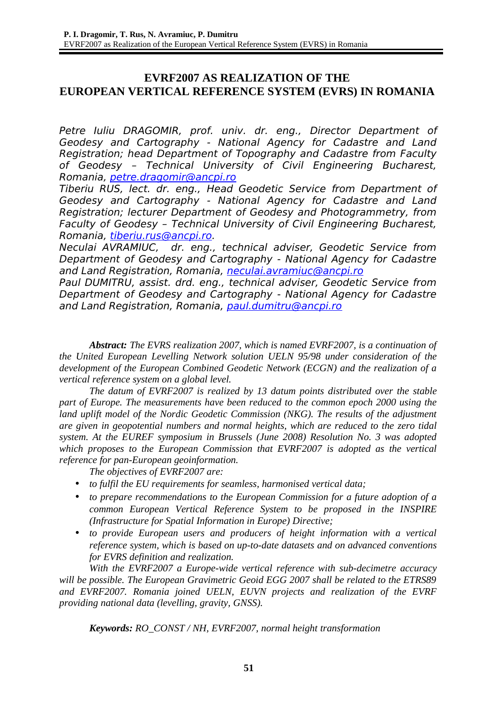## **EVRF2007 AS REALIZATION OF THE EUROPEAN VERTICAL REFERENCE SYSTEM (EVRS) IN ROMANIA**

Petre Iuliu DRAGOMIR, prof. univ. dr. eng., Director Department of Geodesy and Cartography - National Agency for Cadastre and Land Registration; head Department of Topography and Cadastre from Faculty of Geodesy – Technical University of Civil Engineering Bucharest, Romania, [petre.dragomir@ancpi.ro](mailto:petre.dragomir@ancpi.ro)

Tiberiu RUS, lect. dr. eng., Head Geodetic Service from Department of Geodesy and Cartography - National Agency for Cadastre and Land Registration; lecturer Department of Geodesy and Photogrammetry, from Faculty of Geodesy – Technical University of Civil Engineering Bucharest, Romania, [tiberiu.rus@ancpi.ro.](mailto:tiberiu.rus@ancpi.ro)

Neculai AVRAMIUC, dr. eng., technical adviser, Geodetic Service from Department of Geodesy and Cartography - National Agency for Cadastre and Land Registration, Romania, [neculai.avramiuc@ancpi.ro](mailto:neculai.avramiuc@ancpi.ro)

Paul DUMITRU, assist. drd. eng., technical adviser, Geodetic Service from Department of Geodesy and Cartography - National Agency for Cadastre and Land Registration, Romania, [paul.dumitru@ancpi.ro](mailto:paul.dumitru@ancpi.ro)

*Abstract: The EVRS realization 2007, which is named EVRF2007, is a continuation of the United European Levelling Network solution UELN 95/98 under consideration of the development of the European Combined Geodetic Network (ECGN) and the realization of a vertical reference system on a global level.* 

*The datum of EVRF2007 is realized by 13 datum points distributed over the stable part of Europe. The measurements have been reduced to the common epoch 2000 using the land uplift model of the Nordic Geodetic Commission (NKG). The results of the adjustment are given in geopotential numbers and normal heights, which are reduced to the zero tidal system. At the EUREF symposium in Brussels (June 2008) Resolution No. 3 was adopted which proposes to the European Commission that EVRF2007 is adopted as the vertical reference for pan-European geoinformation.*

*The objectives of EVRF2007 are:*

- *to fulfil the EU requirements for seamless, harmonised vertical data;*
- *to prepare recommendations to the European Commission for a future adoption of a common European Vertical Reference System to be proposed in the INSPIRE (Infrastructure for Spatial Information in Europe) Directive;*
- *to provide European users and producers of height information with a vertical reference system, which is based on up-to-date datasets and on advanced conventions for EVRS definition and realization.*

*With the EVRF2007 a Europe-wide vertical reference with sub-decimetre accuracy will be possible. The European Gravimetric Geoid EGG 2007 shall be related to the ETRS89 and EVRF2007. Romania joined UELN, EUVN projects and realization of the EVRF providing national data (levelling, gravity, GNSS).*

*Keywords: RO\_CONST / NH, EVRF2007, normal height transformation*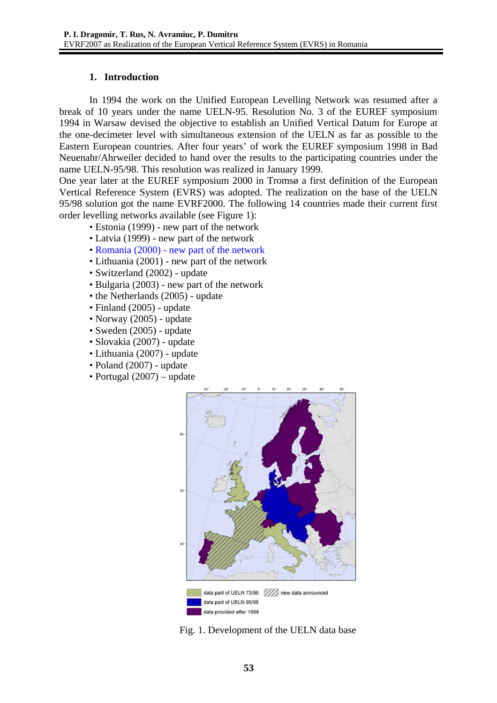### **1. Introduction**

In 1994 the work on the Unified European Levelling Network was resumed after a break of 10 years under the name UELN-95. Resolution No. 3 of the EUREF symposium 1994 in Warsaw devised the objective to establish an Unified Vertical Datum for Europe at the one-decimeter level with simultaneous extension of the UELN as far as possible to the Eastern European countries. After four years' of work the EUREF symposium 1998 in Bad Neuenahr/Ahrweiler decided to hand over the results to the participating countries under the name UELN-95/98. This resolution was realized in January 1999.

One year later at the EUREF symposium 2000 in Tromsø a first definition of the European Vertical Reference System (EVRS) was adopted. The realization on the base of the UELN 95/98 solution got the name EVRF2000. The following 14 countries made their current first order levelling networks available (see Figure 1):

- Estonia (1999) new part of the network
- Latvia (1999) new part of the network
- Romania (2000) new part of the network
- Lithuania (2001) new part of the network
- Switzerland (2002) update
- Bulgaria (2003) new part of the network
- the Netherlands (2005) update
- Finland (2005) update
- Norway (2005) update
- Sweden (2005) update
- Slovakia (2007) update
- Lithuania (2007) update
- Poland (2007) update
- Portugal (2007) update



Fig. 1. Development of the UELN data base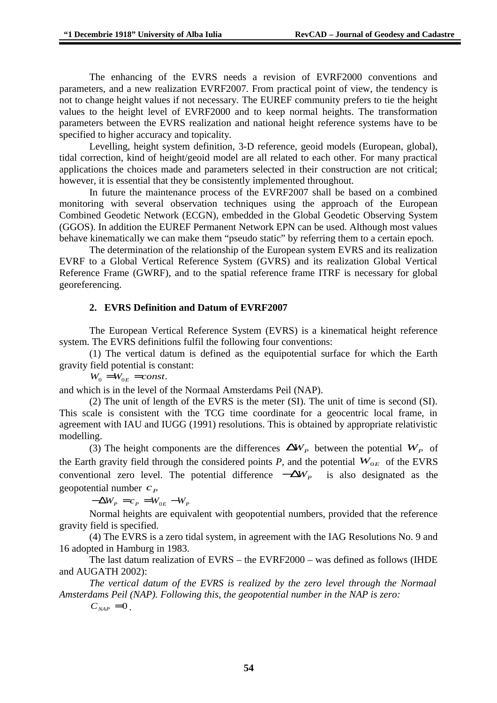The enhancing of the EVRS needs a revision of EVRF2000 conventions and parameters, and a new realization EVRF2007. From practical point of view, the tendency is not to change height values if not necessary. The EUREF community prefers to tie the height values to the height level of EVRF2000 and to keep normal heights. The transformation parameters between the EVRS realization and national height reference systems have to be specified to higher accuracy and topicality.

Levelling, height system definition, 3-D reference, geoid models (European, global), tidal correction, kind of height/geoid model are all related to each other. For many practical applications the choices made and parameters selected in their construction are not critical; however, it is essential that they be consistently implemented throughout.

In future the maintenance process of the EVRF2007 shall be based on a combined monitoring with several observation techniques using the approach of the European Combined Geodetic Network (ECGN), embedded in the Global Geodetic Observing System (GGOS). In addition the EUREF Permanent Network EPN can be used. Although most values behave kinematically we can make them "pseudo static" by referring them to a certain epoch.

The determination of the relationship of the European system EVRS and its realization EVRF to a Global Vertical Reference System (GVRS) and its realization Global Vertical Reference Frame (GWRF), and to the spatial reference frame ITRF is necessary for global georeferencing.

### **2. EVRS Definition and Datum of EVRF2007**

The European Vertical Reference System (EVRS) is a kinematical height reference system. The EVRS definitions fulfil the following four conventions:

(1) The vertical datum is defined as the equipotential surface for which the Earth gravity field potential is constant:

 $W_0 = W_{0E} = const.$ 

and which is in the level of the Normaal Amsterdams Peil (NAP).

(2) The unit of length of the EVRS is the meter (SI). The unit of time is second (SI). This scale is consistent with the TCG time coordinate for a geocentric local frame, in agreement with IAU and IUGG (1991) resolutions. This is obtained by appropriate relativistic modelling.

(3) The height components are the differences  $\Delta W_p$  between the potential  $W_p$  of the Earth gravity field through the considered points *P*, and the potential  $W_{0E}$  of the EVRS conventional zero level. The potential difference  $-\Delta W_p$  is also designated as the geopotential number  $c<sub>P</sub>$ 

 $-\Delta W_p = c_p = W_{0E} - W_p$ 

Normal heights are equivalent with geopotential numbers, provided that the reference gravity field is specified.

(4) The EVRS is a zero tidal system, in agreement with the IAG Resolutions No. 9 and 16 adopted in Hamburg in 1983.

The last datum realization of EVRS – the EVRF2000 – was defined as follows (IHDE and AUGATH 2002):

*The vertical datum of the EVRS is realized by the zero level through the Normaal Amsterdams Peil (NAP). Following this, the geopotential number in the NAP is zero:*

 $C_{NAP} = 0$ .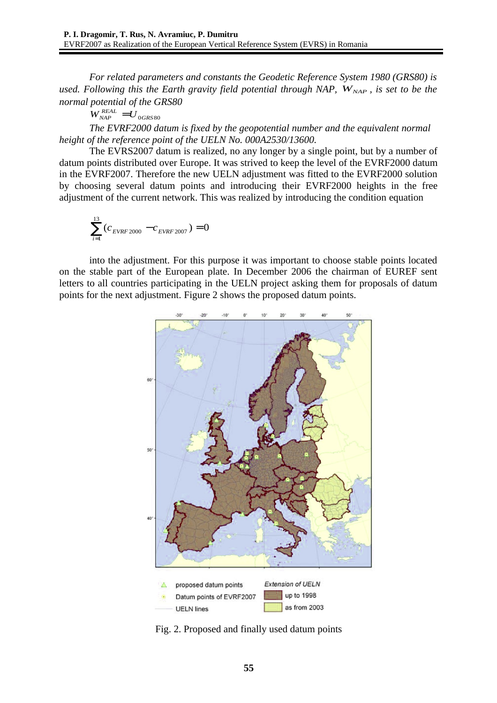*For related parameters and constants the Geodetic Reference System 1980 (GRS80) is used. Following this the Earth gravity field potential through NAP,*  $W_{NAP}$ *, is set to be the normal potential of the GRS80*

 $W_{\textit{NAP}}^{\textit{REAL}} = U_{\textit{0GRS80}}$ 

*The EVRF2000 datum is fixed by the geopotential number and the equivalent normal height of the reference point of the UELN No. 000A2530/13600.*

The EVRS2007 datum is realized, no any longer by a single point, but by a number of datum points distributed over Europe. It was strived to keep the level of the EVRF2000 datum in the EVRF2007. Therefore the new UELN adjustment was fitted to the EVRF2000 solution by choosing several datum points and introducing their EVRF2000 heights in the free adjustment of the current network. This was realized by introducing the condition equation

$$
\sum_{i=1}^{13} (c_{\text{EVRF 2000}} - c_{\text{EVRF 2007}}) = 0
$$

into the adjustment. For this purpose it was important to choose stable points located on the stable part of the European plate. In December 2006 the chairman of EUREF sent letters to all countries participating in the UELN project asking them for proposals of datum points for the next adjustment. Figure 2 shows the proposed datum points.



Fig. 2. Proposed and finally used datum points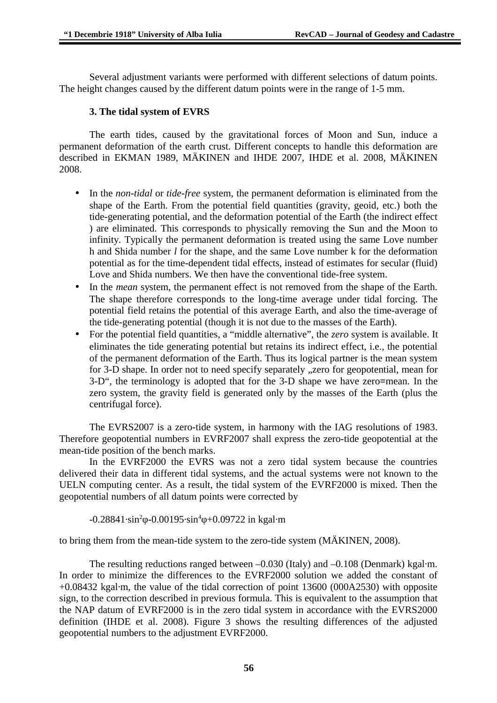Several adjustment variants were performed with different selections of datum points. The height changes caused by the different datum points were in the range of 1-5 mm.

### **3. The tidal system of EVRS**

The earth tides, caused by the gravitational forces of Moon and Sun, induce a permanent deformation of the earth crust. Different concepts to handle this deformation are described in EKMAN 1989, MÄKINEN and IHDE 2007, IHDE et al. 2008, MÄKINEN 2008.

- In the *non-tidal* or *tide-free* system, the permanent deformation is eliminated from the shape of the Earth. From the potential field quantities (gravity, geoid, etc.) both the tide-generating potential, and the deformation potential of the Earth (the indirect effect ) are eliminated. This corresponds to physically removing the Sun and the Moon to infinity. Typically the permanent deformation is treated using the same Love number h and Shida number *l* for the shape, and the same Love number k for the deformation potential as for the time-dependent tidal effects, instead of estimates for secular (fluid) Love and Shida numbers. We then have the conventional tide-free system.
- In the *mean* system, the permanent effect is not removed from the shape of the Earth. The shape therefore corresponds to the long-time average under tidal forcing. The potential field retains the potential of this average Earth, and also the time-average of the tide-generating potential (though it is not due to the masses of the Earth).
- For the potential field quantities, a "middle alternative", the *zero* system is available. It eliminates the tide generating potential but retains its indirect effect, i.e., the potential of the permanent deformation of the Earth. Thus its logical partner is the mean system for 3-D shape. In order not to need specify separately "zero for geopotential, mean for 3-D", the terminology is adopted that for the 3-D shape we have zero≡mean. In the zero system, the gravity field is generated only by the masses of the Earth (plus the centrifugal force).

The EVRS2007 is a zero-tide system, in harmony with the IAG resolutions of 1983. Therefore geopotential numbers in EVRF2007 shall express the zero-tide geopotential at the mean-tide position of the bench marks.

In the EVRF2000 the EVRS was not a zero tidal system because the countries delivered their data in different tidal systems, and the actual systems were not known to the UELN computing center. As a result, the tidal system of the EVRF2000 is mixed. Then the geopotential numbers of all datum points were corrected by

-0.28841∙sin<sup>2</sup>φ-0.00195∙sin<sup>4</sup>φ+0.09722 in kgal∙m

to bring them from the mean-tide system to the zero-tide system (MÄKINEN, 2008).

The resulting reductions ranged between –0.030 (Italy) and –0.108 (Denmark) kgal∙m. In order to minimize the differences to the EVRF2000 solution we added the constant of +0.08432 kgal∙m, the value of the tidal correction of point 13600 (000A2530) with opposite sign, to the correction described in previous formula. This is equivalent to the assumption that the NAP datum of EVRF2000 is in the zero tidal system in accordance with the EVRS2000 definition (IHDE et al. 2008). Figure 3 shows the resulting differences of the adjusted geopotential numbers to the adjustment EVRF2000.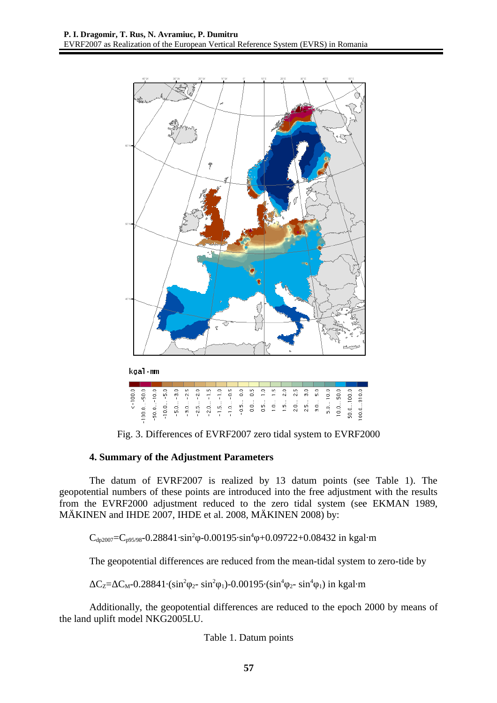

Fig. 3. Differences of EVRF2007 zero tidal system to EVRF2000

#### **4. Summary of the Adjustment Parameters**

The datum of EVRF2007 is realized by 13 datum points (see Table 1). The geopotential numbers of these points are introduced into the free adjustment with the results from the EVRF2000 adjustment reduced to the zero tidal system (see EKMAN 1989, MÄKINEN and IHDE 2007, IHDE et al. 2008, MÄKINEN 2008) by:

 $C_{dp2007}$ = $C_{p95/98}$ -0.28841⋅sin<sup>2</sup> $\varphi$ -0.00195⋅sin<sup>4</sup> $\varphi$ +0.09722+0.08432 in kgal⋅m

The geopotential differences are reduced from the mean-tidal system to zero-tide by

 $\Delta C_{Z} = \Delta C_{M} - 0.28841 \cdot (\sin^{2}\varphi_{2} - \sin^{2}\varphi_{1}) - 0.00195 \cdot (\sin^{4}\varphi_{2} - \sin^{4}\varphi_{1})$  in kgal∙m

Additionally, the geopotential differences are reduced to the epoch 2000 by means of the land uplift model NKG2005LU.

Table 1. Datum points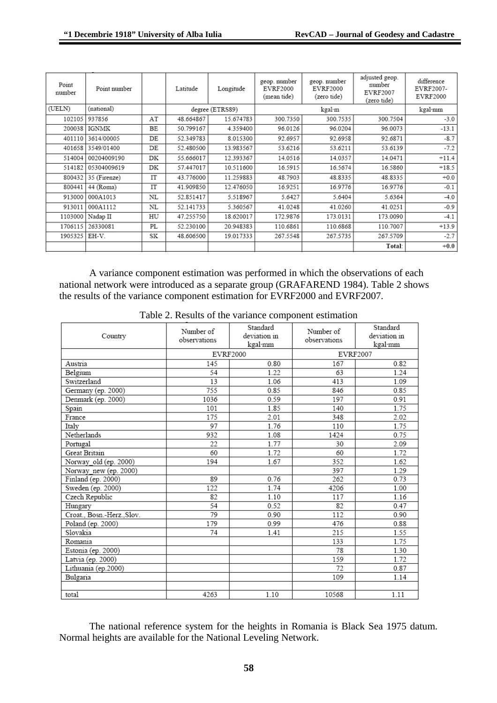| Point<br>number | Point number |    | Latitude  | Longitude       | geop. number<br>EVRF2000<br>(mean tide) | geop. number<br>EVRF2000<br>(zero tide) | adjusted geop.<br>number<br>EVRF2007<br>(zero tide) | difference<br>EVRF2007-<br>EVRF2000 |
|-----------------|--------------|----|-----------|-----------------|-----------------------------------------|-----------------------------------------|-----------------------------------------------------|-------------------------------------|
| (UELN)          | (national)   |    |           | degree (ETRS89) | kgal·m                                  |                                         |                                                     | kgal·mm                             |
| 102105          | 937856       | AT | 48.664867 | 15.674783       | 300.7350                                | 300.7535                                | 300.7504                                            | $-3.0$                              |
| 200038          | <b>IGNMK</b> | BE | 50.799167 | 4.359400        | 96.0126                                 | 96.0204                                 | 96.0073                                             | $-13.1$                             |
| 401110          | 3614/00005   | DE | 52.349783 | 8.015300        | 92.6957                                 | 92.6958                                 | 92.6871                                             | $-8.7$                              |
| 401658          | 3549/01400   | DE | 52.480500 | 13.983567       | 53.6216                                 | 53.6211                                 | 53.6139                                             | $-7.2$                              |
| 514004          | 00204009190  | DK | 55.666017 | 12.393367       | 14.0516                                 | 14.0357                                 | 14.0471                                             | $+11.4$                             |
| 514182          | 05304009619  | DK | 57.447017 | 10.511600       | 16.5915                                 | 16.5674                                 | 16.5860                                             | $+18.5$                             |
| 800432          | 35 (Firenze) | IT | 43.776000 | 11.259883       | 48.7903                                 | 48.8335                                 | 48.8335                                             | $+0.0$                              |
| 800441          | 44 (Roma)    | IT | 41.909850 | 12.476050       | 16.9251                                 | 16.9776                                 | 16.9776                                             | $-0.1$                              |
| 913000          | 000A1013     | NL | 52.851417 | 5.518967        | 5.6427                                  | 5.6404                                  | 5.6364                                              | $-4.0$                              |
| 913011          | 000A1112     | NL | 52.141733 | 5.360567        | 41.0248                                 | 41.0260                                 | 41.0251                                             | $-0.9$                              |
| 1103000         | Nadap II     | HU | 47.255750 | 18.620017       | 172.9876                                | 173.0131                                | 173.0090                                            | $-4.1$                              |
| 1706115         | 26330081     | PL | 52.230100 | 20.948383       | 110.6861                                | 110.6868                                | 110.7007                                            | $+13.9$                             |
| 1905325         | EH-V.        | SK | 48.606500 | 19.017333       | 267.5548                                | 267.5735                                | 267.5709                                            | $-2.7$                              |
|                 |              |    |           |                 |                                         |                                         | Total:                                              | $+0.0$                              |

A variance component estimation was performed in which the observations of each national network were introduced as a separate group (GRAFAREND 1984). Table 2 shows the results of the variance component estimation for EVRF2000 and EVRF2007.

| Country                    | Standard<br>Number of<br>deviation in<br>observations<br>kgal·mm |          | Number of<br>observations | Standard<br>deviation in<br>kgal·mm |  |
|----------------------------|------------------------------------------------------------------|----------|---------------------------|-------------------------------------|--|
|                            |                                                                  | EVRF2000 | EVRF2007                  |                                     |  |
| Austria                    | 145                                                              | 0.80     | 167                       | 0.82                                |  |
| Belgium                    | 54                                                               | 1.22     | 63                        | 1.24                                |  |
| Switzerland                | 13                                                               | 1.06     | 413                       | 1.09                                |  |
| Germany (ep. 2000)         | 755                                                              | 0.85     | 846                       | 0.85                                |  |
| Denmark (ep. 2000)         | 1036                                                             | 0.59     | 197                       | 0.91                                |  |
| Spain                      | 101                                                              | 1.85     | 140                       | 1.75                                |  |
| France                     | 175                                                              | 2.01     | 348                       | 2.02                                |  |
| Italy                      | 97                                                               | 1.76     | 110                       | 1.75                                |  |
| Netherlands                | 932                                                              | 1.08     | 1424                      | 0.75                                |  |
| Portugal                   | 22                                                               | 1.77     | 30                        | 2.09                                |  |
| Great Britain              | 60                                                               | 1.72     | 60                        | 1.72                                |  |
| Norway old (ep. 2000)      | 194                                                              | 1.67     | 352                       | 1.62                                |  |
| Norway_new (ep. 2000)      |                                                                  |          | 397                       | 1.29                                |  |
| Finland (ep. 2000)         | 89                                                               | 0.76     | 262                       | 0.73                                |  |
| Sweden (ep. 2000)          | 122                                                              | 1.74     | 4206                      | 1.00                                |  |
| Czech Republic             | 82                                                               | 1.10     | 117                       | 1.16                                |  |
| Hungary                    | 54                                                               | 0.52     | 82                        | 0.47                                |  |
| Croat., Bosn.-Herz., Slov. | 79                                                               | 0.90     | 112                       | 0.90                                |  |
| Poland (ep. 2000)          | 179                                                              | 0.99     | 476                       | 0.88                                |  |
| Slovakia                   | 74                                                               | 1.41     | 215                       | 1.55                                |  |
| Romania                    |                                                                  |          | 133                       | 1.75                                |  |
| Estonia (ep. 2000)         |                                                                  |          | 78                        | 1.30                                |  |
| Latvia (ep. 2000)          |                                                                  |          | 159                       | 1.72                                |  |
| Lithuania (ep.2000)        |                                                                  |          | 72                        | 0.87                                |  |
| Bulgaria                   |                                                                  |          | 109                       | 1.14                                |  |
| total                      | 4263                                                             | 1.10     | 10568                     | 1.11                                |  |

Table 2. Results of the variance component estimation

The national reference system for the heights in Romania is Black Sea 1975 datum. Normal heights are available for the National Leveling Network.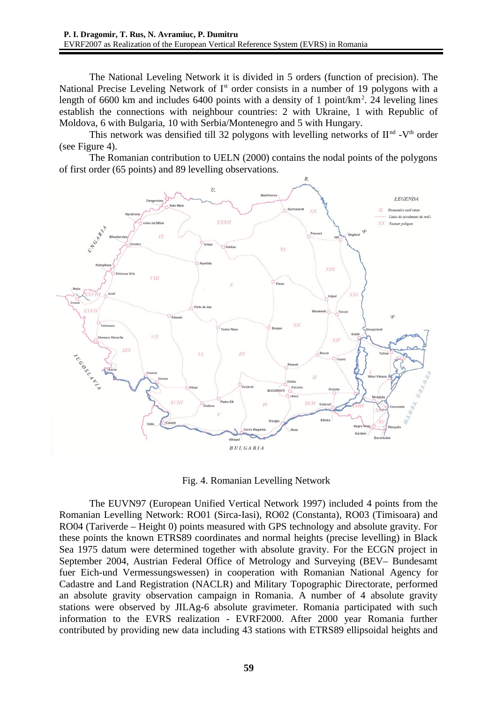The National Leveling Network it is divided in 5 orders (function of precision). The National Precise Leveling Network of  $I<sup>st</sup>$  order consists in a number of 19 polygons with a length of 6600 km and includes 6400 points with a density of 1 point/ $km^2$ . 24 leveling lines establish the connections with neighbour countries: 2 with Ukraine, 1 with Republic of Moldova, 6 with Bulgaria, 10 with Serbia/Montenegro and 5 with Hungary.

This network was densified till 32 polygons with levelling networks of  $II<sup>nd</sup> - V<sup>th</sup>$  order (see Figure 4).

The Romanian contribution to UELN (2000) contains the nodal points of the polygons of first order (65 points) and 89 levelling observations.



Fig. 4. Romanian Levelling Network

The EUVN97 (European Unified Vertical Network 1997) included 4 points from the Romanian Levelling Network: RO01 (Sirca-Iasi), RO02 (Constanta), RO03 (Timisoara) and RO04 (Tariverde – Height 0) points measured with GPS technology and absolute gravity. For these points the known ETRS89 coordinates and normal heights (precise levelling) in Black Sea 1975 datum were determined together with absolute gravity. For the ECGN project in September 2004, Austrian Federal Office of Metrology and Surveying (BEV– Bundesamt fuer Eich-und Vermessungswessen) in cooperation with Romanian National Agency for Cadastre and Land Registration (NACLR) and Military Topographic Directorate, performed an absolute gravity observation campaign in Romania. A number of 4 absolute gravity stations were observed by JILAg-6 absolute gravimeter. Romania participated with such information to the EVRS realization - EVRF2000. After 2000 year Romania further contributed by providing new data including 43 stations with ETRS89 ellipsoidal heights and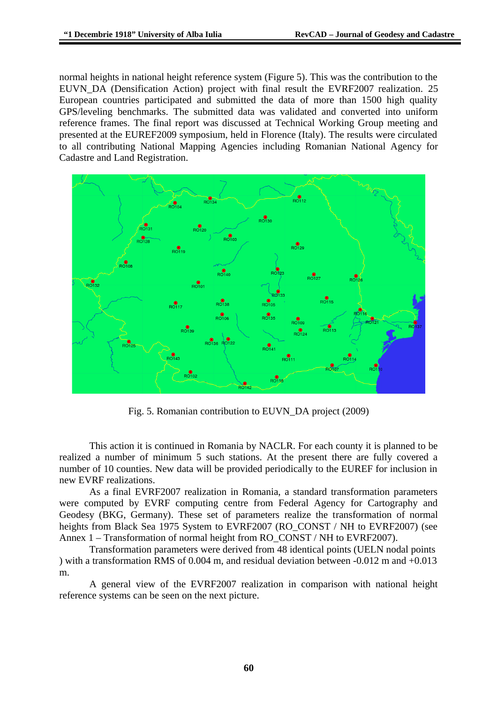normal heights in national height reference system (Figure 5). This was the contribution to the EUVN\_DA (Densification Action) project with final result the EVRF2007 realization. 25 European countries participated and submitted the data of more than 1500 high quality GPS/leveling benchmarks. The submitted data was validated and converted into uniform reference frames. The final report was discussed at Technical Working Group meeting and presented at the EUREF2009 symposium, held in Florence (Italy). The results were circulated to all contributing National Mapping Agencies including Romanian National Agency for Cadastre and Land Registration.



Fig. 5. Romanian contribution to EUVN\_DA project (2009)

This action it is continued in Romania by NACLR. For each county it is planned to be realized a number of minimum 5 such stations. At the present there are fully covered a number of 10 counties. New data will be provided periodically to the EUREF for inclusion in new EVRF realizations.

As a final EVRF2007 realization in Romania, a standard transformation parameters were computed by EVRF computing centre from Federal Agency for Cartography and Geodesy (BKG, Germany). These set of parameters realize the transformation of normal heights from Black Sea 1975 System to EVRF2007 (RO\_CONST / NH to EVRF2007) (see Annex 1 – Transformation of normal height from RO\_CONST / NH to EVRF2007).

Transformation parameters were derived from 48 identical points (UELN nodal points ) with a transformation RMS of 0.004 m, and residual deviation between -0.012 m and +0.013 m.

A general view of the EVRF2007 realization in comparison with national height reference systems can be seen on the next picture.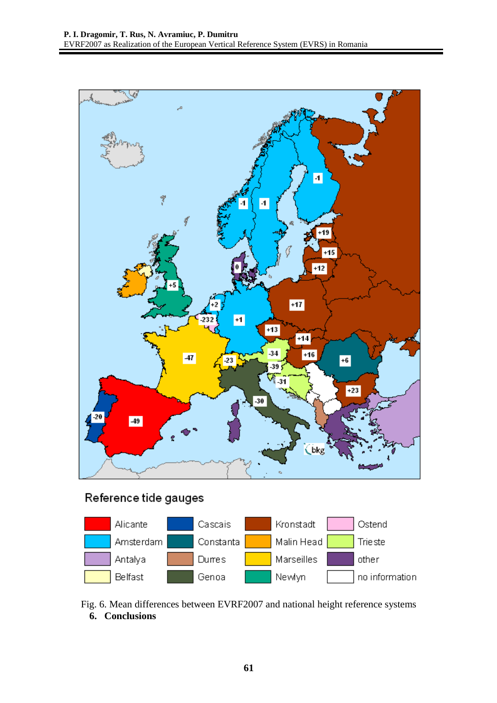

# Reference tide gauges

|  | Alicante  | Cascais   | Kronstadt  | Ostend         |
|--|-----------|-----------|------------|----------------|
|  | Amsterdam | Constanta | Malin Head | Trieste        |
|  | Antalya   | Durres    | Marseilles | other          |
|  | Belfast   | Genoa     | Newlyn     | no information |

Fig. 6. Mean differences between EVRF2007 and national height reference systems **6. Conclusions**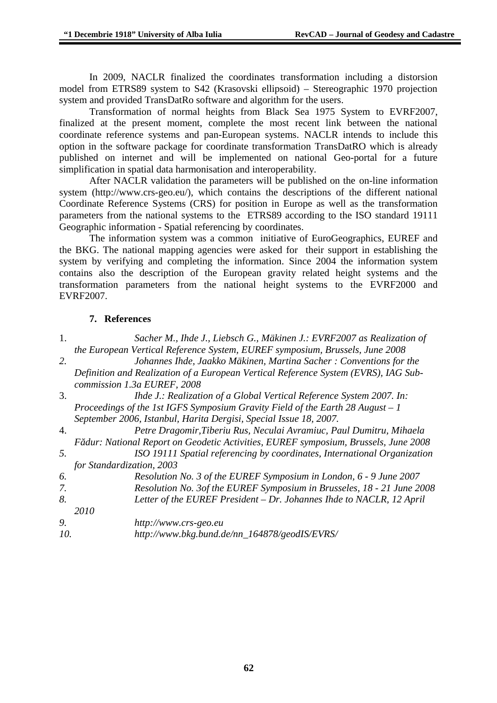In 2009, NACLR finalized the coordinates transformation including a distorsion model from ETRS89 system to S42 (Krasovski ellipsoid) – Stereographic 1970 projection system and provided TransDatRo software and algorithm for the users.

Transformation of normal heights from Black Sea 1975 System to EVRF2007, finalized at the present moment, complete the most recent link between the national coordinate reference systems and pan-European systems. NACLR intends to include this option in the software package for coordinate transformation TransDatRO which is already published on internet and will be implemented on national Geo-portal for a future simplification in spatial data harmonisation and interoperability.

After NACLR validation the parameters will be published on the on-line information system (http://www.crs-geo.eu/), which contains the descriptions of the different national Coordinate Reference Systems (CRS) for position in Europe as well as the transformation parameters from the national systems to the ETRS89 according to the ISO standard 19111 Geographic information - Spatial referencing by coordinates.

The information system was a common initiative of EuroGeographics, EUREF and the BKG. The national mapping agencies were asked for their support in establishing the system by verifying and completing the information. Since 2004 the information system contains also the description of the European gravity related height systems and the transformation parameters from the national height systems to the EVRF2000 and EVRF2007.

### **7. References**

| 1.  | Sacher M., Ihde J., Liebsch G., Mäkinen J.: EVRF2007 as Realization of              |  |  |  |  |  |
|-----|-------------------------------------------------------------------------------------|--|--|--|--|--|
|     | the European Vertical Reference System, EUREF symposium, Brussels, June 2008        |  |  |  |  |  |
| 2.  | Johannes Ihde, Jaakko Mäkinen, Martina Sacher: Conventions for the                  |  |  |  |  |  |
|     | Definition and Realization of a European Vertical Reference System (EVRS), IAG Sub- |  |  |  |  |  |
|     | commission 1.3a EUREF, 2008                                                         |  |  |  |  |  |
| 3.  | Ihde J.: Realization of a Global Vertical Reference System 2007. In:                |  |  |  |  |  |
|     | Proceedings of the 1st IGFS Symposium Gravity Field of the Earth 28 August - 1      |  |  |  |  |  |
|     | September 2006, Istanbul, Harita Dergisi, Special Issue 18, 2007.                   |  |  |  |  |  |
| 4.  | Petre Dragomir, Tiberiu Rus, Neculai Avramiuc, Paul Dumitru, Mihaela                |  |  |  |  |  |
|     | Fădur: National Report on Geodetic Activities, EUREF symposium, Brussels, June 2008 |  |  |  |  |  |
| 5.  | ISO 19111 Spatial referencing by coordinates, International Organization            |  |  |  |  |  |
|     | for Standardization, 2003                                                           |  |  |  |  |  |
| 6.  | Resolution No. 3 of the EUREF Symposium in London, 6 - 9 June 2007                  |  |  |  |  |  |
| 7.  | Resolution No. 3of the EUREF Symposium in Brusseles, 18 - 21 June 2008              |  |  |  |  |  |
| 8.  | Letter of the EUREF President - Dr. Johannes Ihde to NACLR, 12 April                |  |  |  |  |  |
|     | 2010                                                                                |  |  |  |  |  |
| 9.  | http://www.crs-geo.eu                                                               |  |  |  |  |  |
| 10. | http://www.bkg.bund.de/nn_164878/geodIS/EVRS/                                       |  |  |  |  |  |